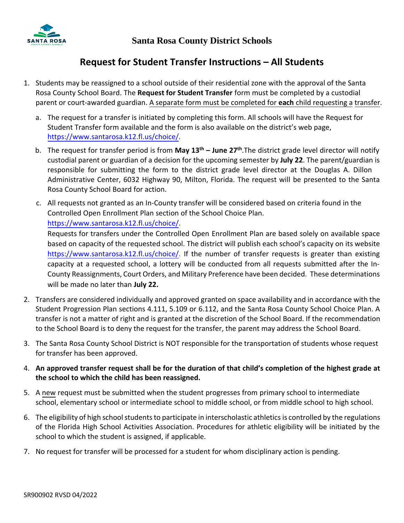

### **Request for Student Transfer Instructions – All Students**

- 1. Students may be reassigned to a school outside of their residential zone with the approval of the Santa Rosa County School Board. The **Request for Student Transfer** form must be completed by a custodial parent or court-awarded guardian. A separate form must be completed for **each** child requesting a transfer.
	- a. The request for a transfer is initiated by completing this form. All schools will have the Request for Student Transfer form available and the form is also available on the district's web page, https://www.santarosa.k12.fl.us/choice/.
	- b. [The request for transfer period is from](https://www.santarosa.k12.fl.us/choice/) **May 13th – June 27th**.The district grade level director will notify custodial parent or guardian of a decision for the upcoming semester by **July 22**. The parent/guardian is responsible for submitting the form to the district grade level director at the Douglas A. Dillon Administrative Center, 6032 Highway 90, Milton, Florida. The request will be presented to the Santa Rosa County School Board for action.
	- c. All requests not granted as an In-County transfer will be considered based on criteria found in the Controlled Open Enrollment Plan section of the School Choice Plan.

# https://www.santarosa.k12.fl.us/choice/.

[Requests for transfers under the Controll](https://www.santarosa.k12.fl.us/choice/)ed Open Enrollment Plan are based solely on available space based on capacity of the requested school. The district will publish each school's capacity on its website https://www.santarosa.k12.fl.us/choice/. If the number of transfer requests is greater than existing [capacity at a requested school, a lottery](https://www.santarosa.k12.fl.us/choice/) will be conducted from all requests submitted after the In-County Reassignments, Court Orders, and Military Preference have been decided. These determinations will be made no later than **July 22.**

- 2. Transfers are considered individually and approved granted on space availability and in accordance with the Student Progression Plan sections 4.111, 5.109 or 6.112, and the Santa Rosa County School Choice Plan. A transfer is not a matter of right and is granted at the discretion of the School Board. If the recommendation to the School Board is to deny the request for the transfer, the parent may address the School Board.
- 3. The Santa Rosa County School District is NOT responsible for the transportation of students whose request for transfer has been approved.
- 4. **An approved transfer request shall be for the duration of that child's completion of the highest grade at the school to which the child has been reassigned.**
- 5. A new request must be submitted when the student progresses from primary school to intermediate school, elementary school or intermediate school to middle school, or from middle school to high school.
- 6. The eligibility of high school students to participate in interscholastic athletics is controlled by the regulations of the Florida High School Activities Association. Procedures for athletic eligibility will be initiated by the school to which the student is assigned, if applicable.
- 7. No request for transfer will be processed for a student for whom disciplinary action is pending.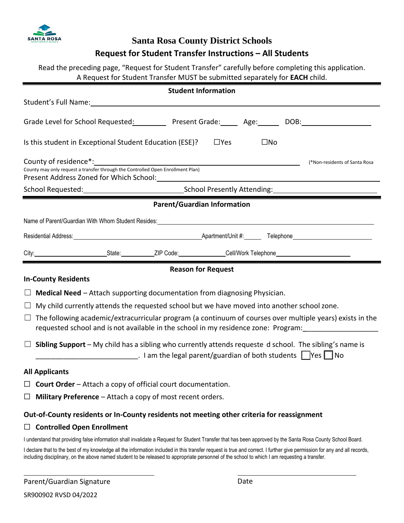

#### **Santa Rosa County District Schools**

#### **Request for Student Transfer Instructions – All Students**

Read the preceding page, "Request for Student Transfer" carefully before completing this application. A Request for Student Transfer MUST be submitted separately for **EACH** child.

| <b>Student Information</b>                                                                                                                                                                                                                                                                                                                                                                                                    |  |  |
|-------------------------------------------------------------------------------------------------------------------------------------------------------------------------------------------------------------------------------------------------------------------------------------------------------------------------------------------------------------------------------------------------------------------------------|--|--|
|                                                                                                                                                                                                                                                                                                                                                                                                                               |  |  |
| Grade Level for School Requested: The Present Grade: The Age: The DOB: The Magnetic DOB:                                                                                                                                                                                                                                                                                                                                      |  |  |
| Is this student in Exceptional Student Education (ESE)? $\Box$ Yes<br>$\square$ No                                                                                                                                                                                                                                                                                                                                            |  |  |
| County of residence <sup>*</sup> : example a series of the series of the series of the series of the series of the series of the series of the series of the series of the series of the series of the series of the series of the series<br>(*Non-residents of Santa Rosa<br>County may only request a transfer through the Controlled Open Enrollment Plan)<br>Present Address Zoned for Which School: Network Address 2016 |  |  |
|                                                                                                                                                                                                                                                                                                                                                                                                                               |  |  |
| <b>Parent/Guardian Information</b>                                                                                                                                                                                                                                                                                                                                                                                            |  |  |
|                                                                                                                                                                                                                                                                                                                                                                                                                               |  |  |
|                                                                                                                                                                                                                                                                                                                                                                                                                               |  |  |
|                                                                                                                                                                                                                                                                                                                                                                                                                               |  |  |
| <b>Reason for Request</b>                                                                                                                                                                                                                                                                                                                                                                                                     |  |  |
| <b>In-County Residents</b>                                                                                                                                                                                                                                                                                                                                                                                                    |  |  |
| $\Box$ Medical Need – Attach supporting documentation from diagnosing Physician.                                                                                                                                                                                                                                                                                                                                              |  |  |
| $\Box$ My child currently attends the requested school but we have moved into another school zone.                                                                                                                                                                                                                                                                                                                            |  |  |
| The following academic/extracurricular program (a continuum of courses over multiple years) exists in the<br>$\Box$<br>requested school and is not available in the school in my residence zone: Program:                                                                                                                                                                                                                     |  |  |
| $\Box$ Sibling Support – My child has a sibling who currently attends requeste d school. The sibling's name is<br>________________________________. I am the legal parent/guardian of both students △Yes △No                                                                                                                                                                                                                  |  |  |
| <b>All Applicants</b>                                                                                                                                                                                                                                                                                                                                                                                                         |  |  |
| <b>Court Order</b> – Attach a copy of official court documentation.<br>ப                                                                                                                                                                                                                                                                                                                                                      |  |  |
| Military Preference - Attach a copy of most recent orders.<br>ப                                                                                                                                                                                                                                                                                                                                                               |  |  |
| Out-of-County residents or In-County residents not meeting other criteria for reassignment                                                                                                                                                                                                                                                                                                                                    |  |  |
| <b>Controlled Open Enrollment</b><br>ப                                                                                                                                                                                                                                                                                                                                                                                        |  |  |
| I understand that providing false information shall invalidate a Request for Student Transfer that has been approved by the Santa Rosa County School Board.                                                                                                                                                                                                                                                                   |  |  |
| I declare that to the best of my knowledge all the information included in this transfer request is true and correct. I further give permission for any and all records,<br>including disciplinary, on the above named student to be released to appropriate personnel of the school to which I am requesting a transfer.                                                                                                     |  |  |